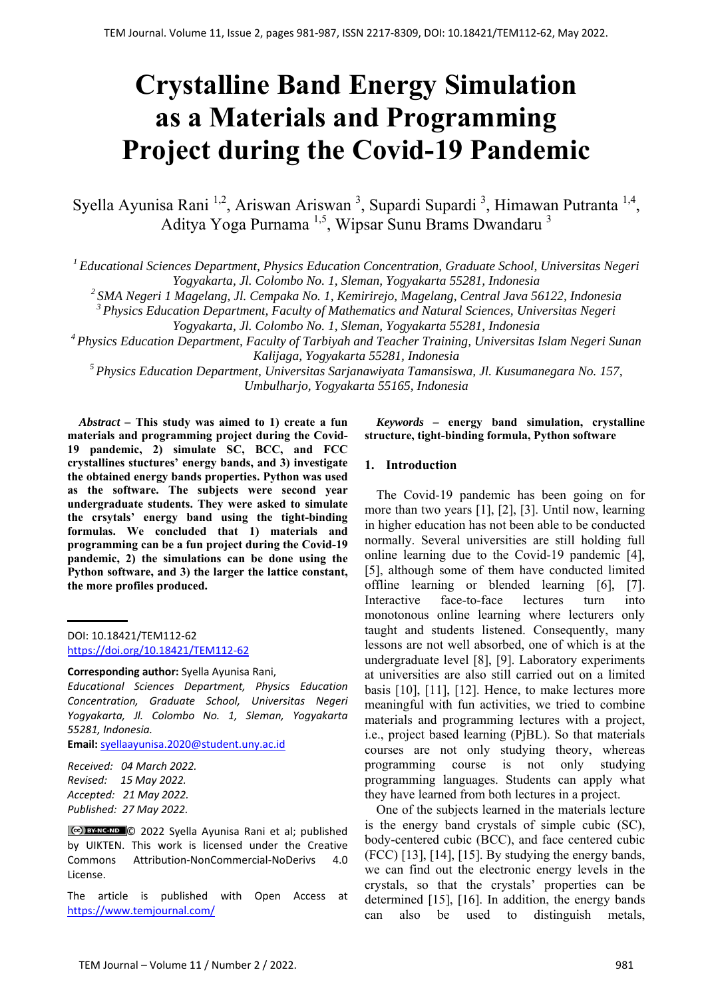# **Crystalline Band Energy Simulation as a Materials and Programming Project during the Covid-19 Pandemic**

Syella Ayunisa Rani <sup>1,2</sup>, Ariswan Ariswan <sup>3</sup>, Supardi Supardi <sup>3</sup>, Himawan Putranta <sup>1,4</sup>, Aditya Yoga Purnama<sup>1,5</sup>, Wipsar Sunu Brams Dwandaru<sup>3</sup>

*1 Educational Sciences Department, Physics Education Concentration, Graduate School, Universitas Negeri Yogyakarta, Jl. Colombo No. 1, Sleman, Yogyakarta 55281, Indonesia* 

*2 SMA Negeri 1 Magelang, Jl. Cempaka No. 1, Kemirirejo, Magelang, Central Java 56122, Indonesia* 

*3 Physics Education Department, Faculty of Mathematics and Natural Sciences, Universitas Negeri* 

*Yogyakarta, Jl. Colombo No. 1, Sleman, Yogyakarta 55281, Indonesia* 

*4 Physics Education Department, Faculty of Tarbiyah and Teacher Training, Universitas Islam Negeri Sunan Kalijaga, Yogyakarta 55281, Indonesia* 

*5 Physics Education Department, Universitas Sarjanawiyata Tamansiswa, Jl. Kusumanegara No. 157, Umbulharjo, Yogyakarta 55165, Indonesia*

*Abstract –* **This study was aimed to 1) create a fun materials and programming project during the Covid-19 pandemic, 2) simulate SC, BCC, and FCC crystallines stuctures' energy bands, and 3) investigate the obtained energy bands properties. Python was used as the software. The subjects were second year undergraduate students. They were asked to simulate the crsytals' energy band using the tight-binding formulas. We concluded that 1) materials and programming can be a fun project during the Covid-19 pandemic, 2) the simulations can be done using the Python software, and 3) the larger the lattice constant, the more profiles produced.**

DOI: 10.18421/TEM112-62 [https://doi.org/10.18421/TEM112](https://doi.org/10.18421/TEM112-62)-62

*Educational Sciences Department, Physics Education Concentration, Graduate School, Universitas Negeri Yogyakarta, Jl. Colombo No. 1, Sleman, Yogyakarta 55281, Indonesia.* 

**Email:** syellaayunisa.2020@student.uny.ac.id

*Received: 04 March 2022. Revised: 15 May 2022. Accepted: 21 May 2022. Published: 27 May 2022.* 

© 2022 Syella Ayunisa Rani et al; published by UIKTEN. This work is licensed under the Creative Commons Attribution‐NonCommercial‐NoDerivs 4.0 License.

The article is published with Open Access at https://www.temjournal.com/

## *Keywords –* **energy band simulation, crystalline structure, tight-binding formula, Python software**

## **1. Introduction**

The Covid-19 pandemic has been going on for more than two years [1], [2], [3]. Until now, learning in higher education has not been able to be conducted normally. Several universities are still holding full online learning due to the Covid-19 pandemic [4], [5], although some of them have conducted limited offline learning or blended learning [6], [7]. Interactive face-to-face lectures turn into monotonous online learning where lecturers only taught and students listened. Consequently, many lessons are not well absorbed, one of which is at the undergraduate level [8], [9]. Laboratory experiments at universities are also still carried out on a limited basis [10], [11], [12]. Hence, to make lectures more meaningful with fun activities, we tried to combine materials and programming lectures with a project, i.e., project based learning (PjBL). So that materials courses are not only studying theory, whereas programming course is not only studying programming languages. Students can apply what they have learned from both lectures in a project.

One of the subjects learned in the materials lecture is the energy band crystals of simple cubic (SC), body-centered cubic (BCC), and face centered cubic (FCC) [13], [14], [15]. By studying the energy bands, we can find out the electronic energy levels in the crystals, so that the crystals' properties can be determined [15], [16]. In addition, the energy bands can also be used to distinguish metals,

**Corresponding author:** Syella Ayunisa Rani,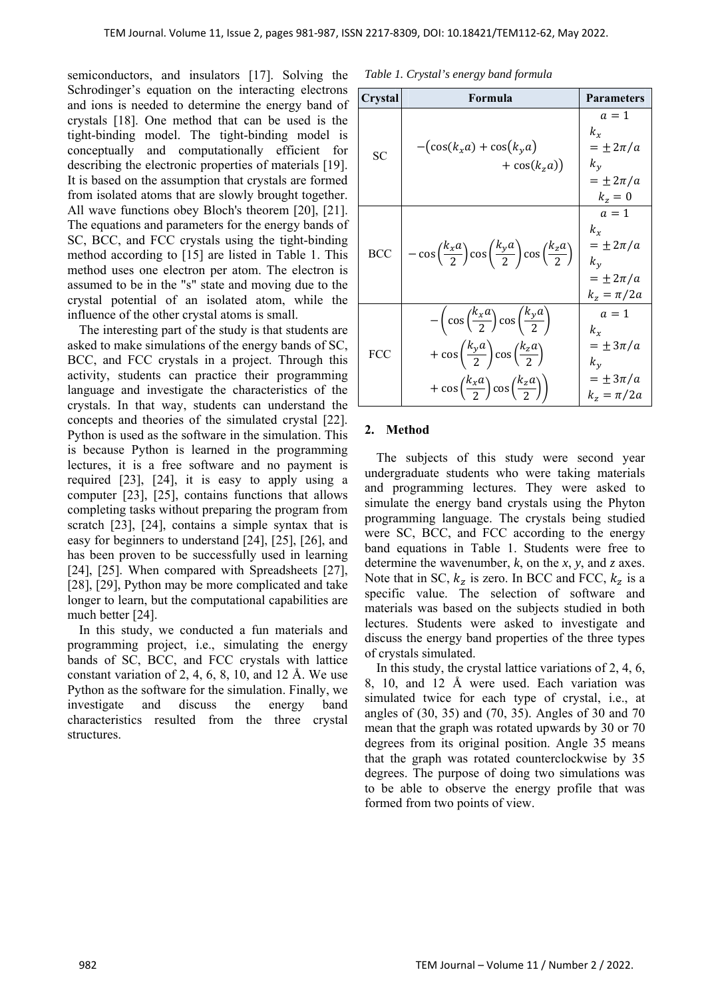semiconductors, and insulators [17]. Solving the Schrodinger's equation on the interacting electrons and ions is needed to determine the energy band of crystals [18]. One method that can be used is the tight-binding model. The tight-binding model is conceptually and computationally efficient for describing the electronic properties of materials [19]. It is based on the assumption that crystals are formed from isolated atoms that are slowly brought together. All wave functions obey Bloch's theorem [20], [21]. The equations and parameters for the energy bands of SC, BCC, and FCC crystals using the tight-binding method according to [15] are listed in Table 1. This method uses one electron per atom. The electron is assumed to be in the "s" state and moving due to the crystal potential of an isolated atom, while the influence of the other crystal atoms is small.

The interesting part of the study is that students are asked to make simulations of the energy bands of SC, BCC, and FCC crystals in a project. Through this activity, students can practice their programming language and investigate the characteristics of the crystals. In that way, students can understand the concepts and theories of the simulated crystal [22]. Python is used as the software in the simulation. This is because Python is learned in the programming lectures, it is a free software and no payment is required [23], [24], it is easy to apply using a computer [23], [25], contains functions that allows completing tasks without preparing the program from scratch [23], [24], contains a simple syntax that is easy for beginners to understand [24], [25], [26], and has been proven to be successfully used in learning [24], [25]. When compared with Spreadsheets [27], [28], [29], Python may be more complicated and take longer to learn, but the computational capabilities are much better [24].

In this study, we conducted a fun materials and programming project, i.e., simulating the energy bands of SC, BCC, and FCC crystals with lattice constant variation of 2, 4, 6, 8, 10, and 12 Å. We use Python as the software for the simulation. Finally, we investigate and discuss the energy band characteristics resulted from the three crystal structures.

*Table 1. Crystal's energy band formula* 

| Crystal    | Formula                                                                                                                                                                                                                  | <b>Parameters</b>                                                                   |
|------------|--------------------------------------------------------------------------------------------------------------------------------------------------------------------------------------------------------------------------|-------------------------------------------------------------------------------------|
| <b>SC</b>  | $-(\cos(k_x a) + \cos(k_y a))$<br>$+ \cos(k_z a)$                                                                                                                                                                        | $a=1$<br>$k_x$<br>$= \pm 2\pi/a$<br>$k_v$<br>$= \pm 2\pi/a$<br>$k_z=0$              |
| <b>BCC</b> | $-\cos\left(\frac{k_x a}{2}\right)\cos\left(\frac{k_y a}{2}\right)\cos\left(\frac{k_z a}{2}\right)$                                                                                                                      | $a=1$<br>$k_{x}$<br>$= \pm 2\pi/a$<br>$k_{\nu}$<br>$= \pm 2\pi/a$<br>$k_z = \pi/2a$ |
| FCC        | $-\left(\cos\left(\frac{k_xa}{2}\right)\cos\left(\frac{k_ya}{2}\right)\right)$<br>$+\cos\left(\frac{k_ya}{2}\right)\cos\left(\frac{k_za}{2}\right)$<br>$+\cos\left(\frac{k_xa}{2}\right)\cos\left(\frac{k_za}{2}\right)$ | $a=1$<br>$k_x$<br>$= \pm 3\pi/a$<br>$k_v$<br>$= \pm 3\pi/a$<br>$k_z = \pi/2a$       |

#### **2. Method**

The subjects of this study were second year undergraduate students who were taking materials and programming lectures. They were asked to simulate the energy band crystals using the Phyton programming language. The crystals being studied were SC, BCC, and FCC according to the energy band equations in Table 1. Students were free to determine the wavenumber, *k*, on the *x*, *y*, and *z* axes. Note that in SC,  $k_z$  is zero. In BCC and FCC,  $k_z$  is a specific value. The selection of software and materials was based on the subjects studied in both lectures. Students were asked to investigate and discuss the energy band properties of the three types of crystals simulated.

In this study, the crystal lattice variations of 2, 4, 6, 8, 10, and 12 Å were used. Each variation was simulated twice for each type of crystal, i.e., at angles of (30, 35) and (70, 35). Angles of 30 and 70 mean that the graph was rotated upwards by 30 or 70 degrees from its original position. Angle 35 means that the graph was rotated counterclockwise by 35 degrees. The purpose of doing two simulations was to be able to observe the energy profile that was formed from two points of view.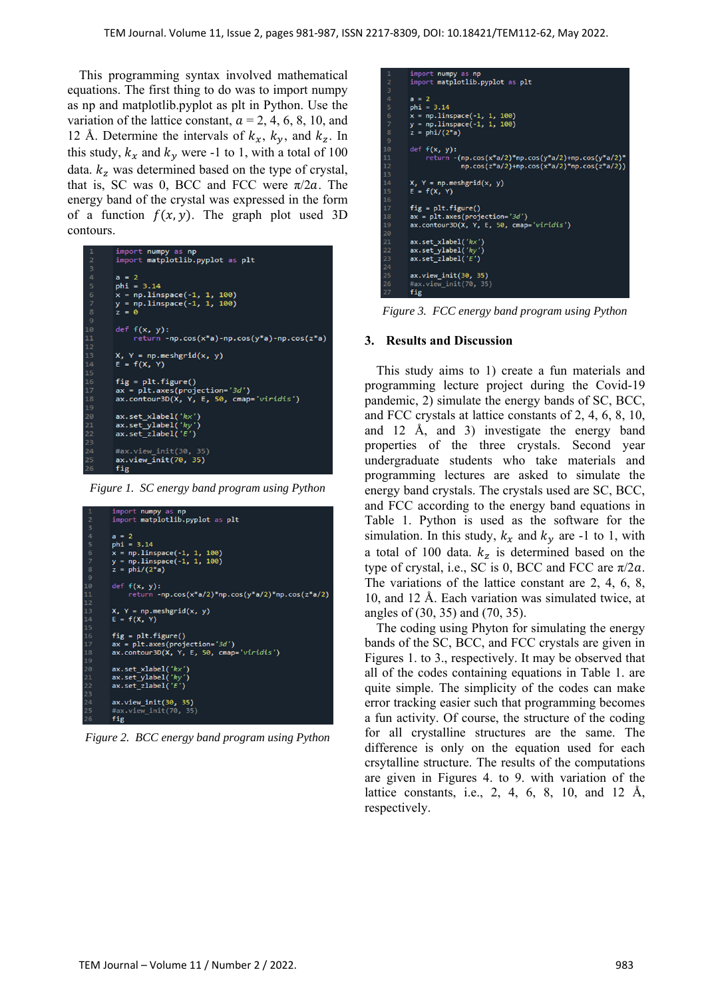This programming syntax involved mathematical equations. The first thing to do was to import numpy as np and matplotlib.pyplot as plt in Python. Use the variation of the lattice constant,  $a = 2, 4, 6, 8, 10,$  and 12 Å. Determine the intervals of  $k_x$ ,  $k_y$ , and  $k_z$ . In this study,  $k_x$  and  $k_y$  were -1 to 1, with a total of 100 data.  $k_z$  was determined based on the type of crystal, that is, SC was 0, BCC and FCC were  $\pi/2a$ . The energy band of the crystal was expressed in the form of a function  $f(x, y)$ . The graph plot used 3D contours.

| $\mathbf{1}$   | import numpy as np                                          |
|----------------|-------------------------------------------------------------|
| $\overline{2}$ | import matplotlib.pyplot as plt                             |
| 3              |                                                             |
| 4              | $a = 2$                                                     |
| 5              | $phi = 3.14$                                                |
| 6              | $x = npu$ linspace(-1, 1, 100)                              |
| $\overline{7}$ | y = np.linspace(-1, 1, 100)                                 |
| 8              | $z = 0$                                                     |
| 9              |                                                             |
| 10             | $def f(x, y)$ :                                             |
| 11             | return -np.cos(x*a)-np.cos(y*a)-np.cos(z*a)                 |
| 12             |                                                             |
| 13             | $X, Y = np.messagerid(x, y)$                                |
| 14             | $E = f(X, Y)$                                               |
| 15             |                                                             |
| 16             | $fig = plt-figure()$                                        |
| 17             | $ax = plt.axes(projection='3d')$                            |
| 18             | $ax.\text{contour3D}(X, Y, E, 50, \text{cmap} = 'viridis')$ |
| 19             |                                                             |
| 20             | ax.set xlabel('kx')                                         |
| 21             | ax.set ylabel('ky')                                         |
| 22             | ax.set zlabel('E')                                          |
| 23             |                                                             |
| 24             | #ax.view init(30, 35)                                       |
| 25             | ax.view_init(70, 35)                                        |
| 26             | fig                                                         |

*Figure 1. SC energy band program using Python*

| $\mathbf{1}$   | import numpy as np                                  |
|----------------|-----------------------------------------------------|
| $\overline{2}$ | import matplotlib.pyplot as plt                     |
| 3              |                                                     |
| $\overline{4}$ | $a = 2$                                             |
| 5              | $phi = 3.14$                                        |
| 6              | $x = npu$ linspace(-1, 1, 100)                      |
| $\overline{7}$ | $y = npu$ linspace(-1, 1, 100)                      |
| 8              | $z = phi/(2*a)$                                     |
| 9              |                                                     |
| 10             | $def f(x, y)$ :                                     |
| 11             | $return -np.cos(x*a/2)*np.cos(y*a/2)*np.cos(z*a/2)$ |
| 12             |                                                     |
| 13             | $X, Y = np.messagerid(x, y)$                        |
| 14             | $E = f(X, Y)$                                       |
| 15             |                                                     |
| 16             | $fig = plt-figure()$                                |
| 17             | $ax = plt.axes(projection='3d')$                    |
| 18             | $ax.contour3D(X, Y, E, 50, can = 'viridis')$        |
| 19             |                                                     |
| 20             | ax.set xlabel('kx')                                 |
| 21             | $ax.set_ylabel('ky')$                               |
| 22             | ax.set zlabel('E')                                  |
| 23             |                                                     |
| 24             | ax.view init(30, 35)                                |
| 25             | #ax.view init(70, 35)                               |
| 26             | fig                                                 |

*Figure 2. BCC energy band program using Python*

| $\mathbf{1}$   | import numpy as np                                          |
|----------------|-------------------------------------------------------------|
| $\overline{2}$ | import matplotlib.pyplot as plt                             |
| 3              |                                                             |
| 4              | $a = 2$                                                     |
| 5              | $phi = 3.14$                                                |
| 6              | $x = npu$ linspace(-1, 1, 100)                              |
| 7              | $y = npu$ linspace $(-1, 1, 100)$                           |
| 8              | $z = phi/(2^*a)$                                            |
| 9              |                                                             |
| 10             | $def f(x, y)$ :                                             |
| 11             | return $-(np.cos(x*a/2)*np.cos(y*a/2)+np.cos(y*a/2)*$       |
| 12             | $np.cos(z^*a/2) + np.cos(x^*a/2)^*np.cos(z^*a/2))$          |
| 13             |                                                             |
| 14             | $X, Y = np.message\{x, y\}$                                 |
| 15             | $E = f(X, Y)$                                               |
| 16             |                                                             |
| 17             | $fig = plt.findure()$                                       |
| 18             | $ax = plt.axes(projection='3d')$                            |
| 19             | $ax.\text{contour3D}(X, Y, E, 50, \text{cmap} = 'viridis')$ |
| 20             |                                                             |
| 21             | ax.set xlabel('kx')                                         |
| 22             | ax.set ylabel('ky')                                         |
| 23             | $ax.set_zlabel('E')$                                        |
| 24             |                                                             |
| 25             | ax.view init(30, 35)                                        |
| 26             | #ax.view init(70, 35)                                       |
| 27             | fig                                                         |

*Figure 3. FCC energy band program using Python*

## **3. Results and Discussion**

This study aims to 1) create a fun materials and programming lecture project during the Covid-19 pandemic, 2) simulate the energy bands of SC, BCC, and FCC crystals at lattice constants of 2, 4, 6, 8, 10, and 12 Å, and 3) investigate the energy band properties of the three crystals. Second year undergraduate students who take materials and programming lectures are asked to simulate the energy band crystals. The crystals used are SC, BCC, and FCC according to the energy band equations in Table 1. Python is used as the software for the simulation. In this study,  $k_x$  and  $k_y$  are -1 to 1, with a total of 100 data.  $k_z$  is determined based on the type of crystal, i.e., SC is 0, BCC and FCC are  $\pi/2a$ . The variations of the lattice constant are 2, 4, 6, 8, 10, and 12 Å. Each variation was simulated twice, at angles of (30, 35) and (70, 35).

The coding using Phyton for simulating the energy bands of the SC, BCC, and FCC crystals are given in Figures 1. to 3., respectively. It may be observed that all of the codes containing equations in Table 1. are quite simple. The simplicity of the codes can make error tracking easier such that programming becomes a fun activity. Of course, the structure of the coding for all crystalline structures are the same. The difference is only on the equation used for each crsytalline structure. The results of the computations are given in Figures 4. to 9. with variation of the lattice constants, i.e., 2, 4, 6, 8, 10, and 12 Å, respectively.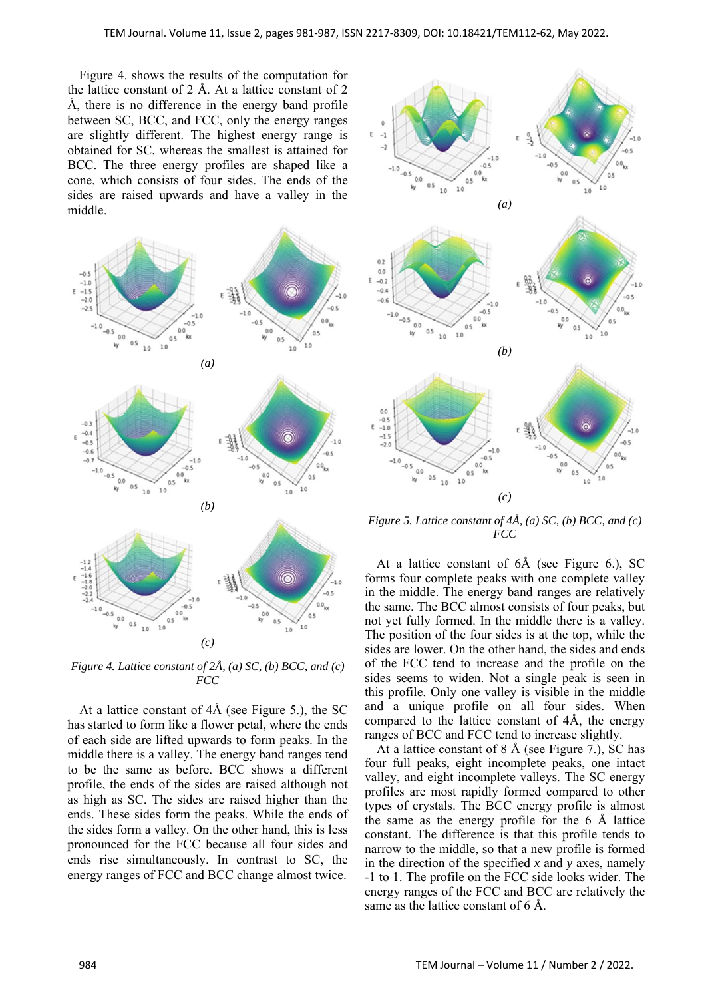Figure 4. shows the results of the computation for the lattice constant of 2 Å. At a lattice constant of 2 Å, there is no difference in the energy band profile between SC, BCC, and FCC, only the energy ranges are slightly different. The highest energy range is obtained for SC, whereas the smallest is attained for BCC. The three energy profiles are shaped like a cone, which consists of four sides. The ends of the sides are raised upwards and have a valley in the middle.



*Figure 4. Lattice constant of 2Å, (a) SC, (b) BCC, and (c) FCC* 

At a lattice constant of 4Å (see Figure 5.), the SC has started to form like a flower petal, where the ends of each side are lifted upwards to form peaks. In the middle there is a valley. The energy band ranges tend to be the same as before. BCC shows a different profile, the ends of the sides are raised although not as high as SC. The sides are raised higher than the ends. These sides form the peaks. While the ends of the sides form a valley. On the other hand, this is less pronounced for the FCC because all four sides and ends rise simultaneously. In contrast to SC, the energy ranges of FCC and BCC change almost twice.



*Figure 5. Lattice constant of 4Å, (a) SC, (b) BCC, and (c) FCC* 

At a lattice constant of 6Å (see Figure 6.), SC forms four complete peaks with one complete valley in the middle. The energy band ranges are relatively the same. The BCC almost consists of four peaks, but not yet fully formed. In the middle there is a valley. The position of the four sides is at the top, while the sides are lower. On the other hand, the sides and ends of the FCC tend to increase and the profile on the sides seems to widen. Not a single peak is seen in this profile. Only one valley is visible in the middle and a unique profile on all four sides. When compared to the lattice constant of 4Å, the energy ranges of BCC and FCC tend to increase slightly.

At a lattice constant of 8 Å (see Figure 7.), SC has four full peaks, eight incomplete peaks, one intact valley, and eight incomplete valleys. The SC energy profiles are most rapidly formed compared to other types of crystals. The BCC energy profile is almost the same as the energy profile for the 6 Å lattice constant. The difference is that this profile tends to narrow to the middle, so that a new profile is formed in the direction of the specified *x* and *y* axes, namely -1 to 1. The profile on the FCC side looks wider. The energy ranges of the FCC and BCC are relatively the same as the lattice constant of 6 Å.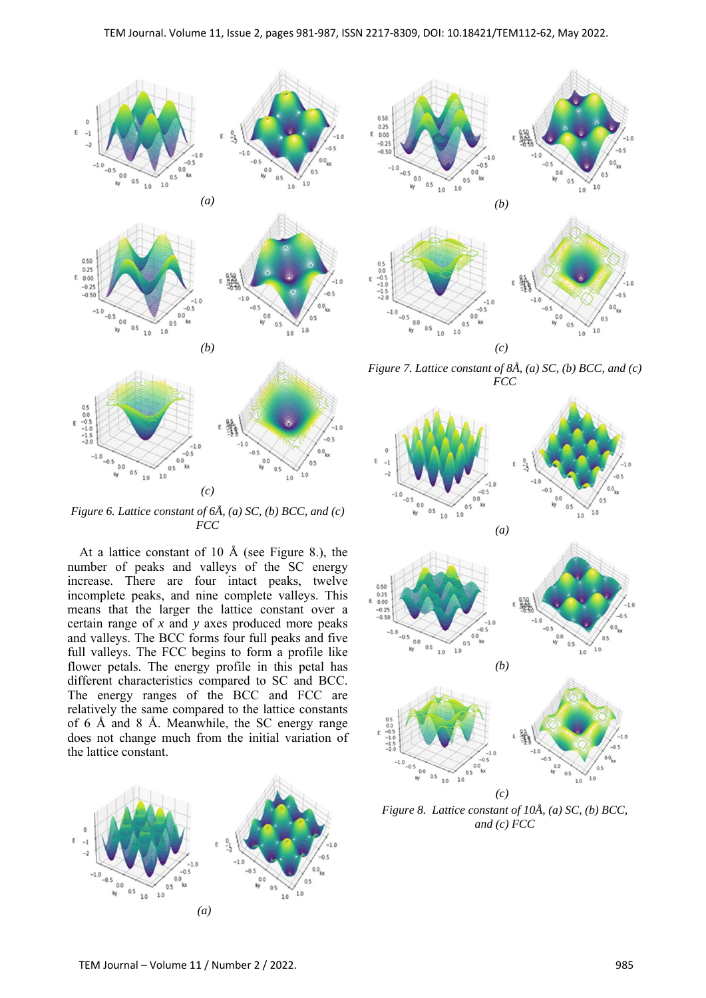

*Figure 6. Lattice constant of 6Å, (a) SC, (b) BCC, and (c) FCC* 

At a lattice constant of 10 Å (see Figure 8.), the number of peaks and valleys of the SC energy increase. There are four intact peaks, twelve incomplete peaks, and nine complete valleys. This means that the larger the lattice constant over a certain range of *x* and *y* axes produced more peaks and valleys. The BCC forms four full peaks and five full valleys. The FCC begins to form a profile like flower petals. The energy profile in this petal has different characteristics compared to SC and BCC. The energy ranges of the BCC and FCC are relatively the same compared to the lattice constants of 6 Å and 8 Å. Meanwhile, the SC energy range does not change much from the initial variation of the lattice constant.





*Figure 7. Lattice constant of 8Å, (a) SC, (b) BCC, and (c) FCC* 



*and (c) FCC*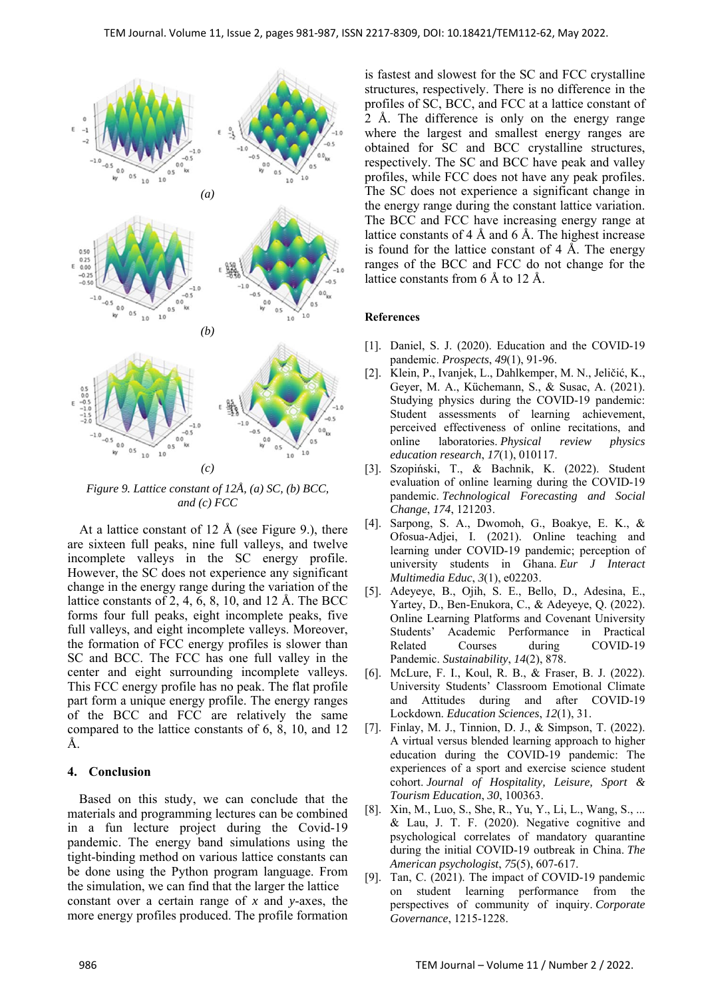

*Figure 9. Lattice constant of 12Å, (a) SC, (b) BCC, and (c) FCC* 

At a lattice constant of 12 Å (see Figure 9.), there are sixteen full peaks, nine full valleys, and twelve incomplete valleys in the SC energy profile. However, the SC does not experience any significant change in the energy range during the variation of the lattice constants of 2, 4, 6, 8, 10, and 12 Å. The BCC forms four full peaks, eight incomplete peaks, five full valleys, and eight incomplete valleys. Moreover, the formation of FCC energy profiles is slower than SC and BCC. The FCC has one full valley in the center and eight surrounding incomplete valleys. This FCC energy profile has no peak. The flat profile part form a unique energy profile. The energy ranges of the BCC and FCC are relatively the same compared to the lattice constants of 6, 8, 10, and 12 Å.

### **4. Conclusion**

Based on this study, we can conclude that the materials and programming lectures can be combined in a fun lecture project during the Covid-19 pandemic. The energy band simulations using the tight-binding method on various lattice constants can be done using the Python program language. From the simulation, we can find that the larger the lattice constant over a certain range of *x* and *y*-axes, the more energy profiles produced. The profile formation is fastest and slowest for the SC and FCC crystalline structures, respectively. There is no difference in the profiles of SC, BCC, and FCC at a lattice constant of 2 Å. The difference is only on the energy range where the largest and smallest energy ranges are obtained for SC and BCC crystalline structures, respectively. The SC and BCC have peak and valley profiles, while FCC does not have any peak profiles. The SC does not experience a significant change in the energy range during the constant lattice variation. The BCC and FCC have increasing energy range at lattice constants of 4 Å and 6 Å. The highest increase is found for the lattice constant of 4 Å. The energy ranges of the BCC and FCC do not change for the lattice constants from 6 Å to 12 Å.

## **References**

- [1]. Daniel, S. J. (2020). Education and the COVID-19 pandemic. *Prospects*, *49*(1), 91-96.
- [2]. Klein, P., Ivanjek, L., Dahlkemper, M. N., Jeličić, K., Geyer, M. A., Küchemann, S., & Susac, A. (2021). Studying physics during the COVID-19 pandemic: Student assessments of learning achievement, perceived effectiveness of online recitations, and online laboratories. *Physical review physics education research*, *17*(1), 010117.
- [3]. Szopiński, T., & Bachnik, K. (2022). Student evaluation of online learning during the COVID-19 pandemic. *Technological Forecasting and Social Change*, *174*, 121203.
- [4]. Sarpong, S. A., Dwomoh, G., Boakye, E. K., & Ofosua-Adjei, I. (2021). Online teaching and learning under COVID-19 pandemic; perception of university students in Ghana. *Eur J Interact Multimedia Educ*, *3*(1), e02203.
- [5]. Adeyeye, B., Ojih, S. E., Bello, D., Adesina, E., Yartey, D., Ben-Enukora, C., & Adeyeye, Q. (2022). Online Learning Platforms and Covenant University Students' Academic Performance in Practical Related Courses during COVID-19 Pandemic. *Sustainability*, *14*(2), 878.
- [6]. McLure, F. I., Koul, R. B., & Fraser, B. J. (2022). University Students' Classroom Emotional Climate and Attitudes during and after COVID-19 Lockdown. *Education Sciences*, *12*(1), 31.
- [7]. Finlay, M. J., Tinnion, D. J., & Simpson, T. (2022). A virtual versus blended learning approach to higher education during the COVID-19 pandemic: The experiences of a sport and exercise science student cohort. *Journal of Hospitality, Leisure, Sport & Tourism Education*, *30*, 100363.
- [8]. Xin, M., Luo, S., She, R., Yu, Y., Li, L., Wang, S., ... & Lau, J. T. F. (2020). Negative cognitive and psychological correlates of mandatory quarantine during the initial COVID-19 outbreak in China. *The American psychologist*, *75*(5), 607-617.
- [9]. Tan, C. (2021). The impact of COVID-19 pandemic on student learning performance from the perspectives of community of inquiry. *Corporate Governance*, 1215-1228.